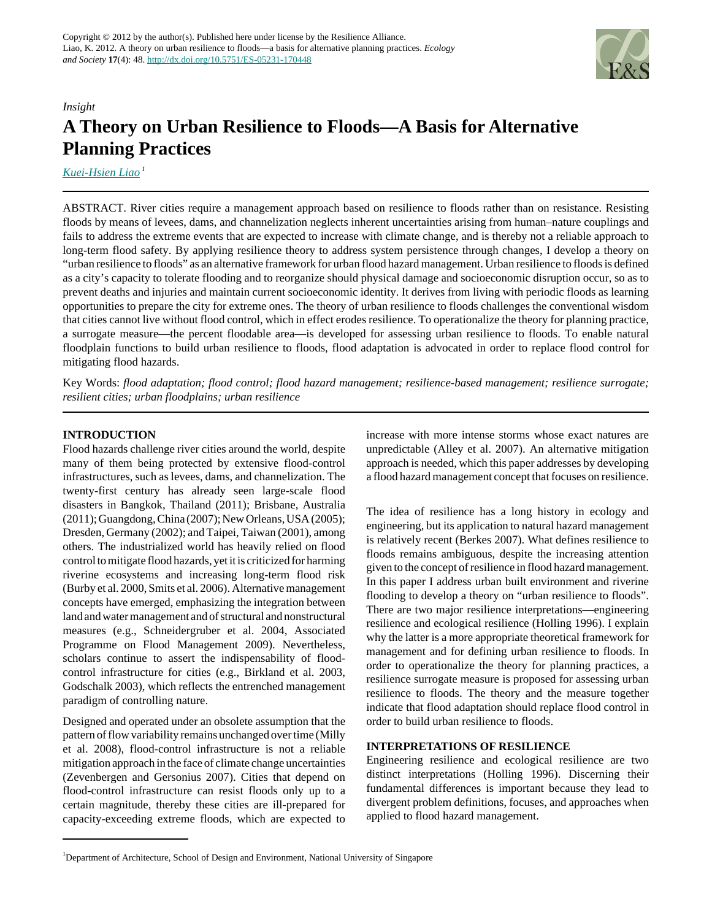

# *Insight* **A Theory on Urban Resilience to Floods—A Basis for Alternative Planning Practices**

*[Kuei-Hsien Liao](mailto:akilk@nus.edu.sg)<sup>1</sup>*

ABSTRACT. River cities require a management approach based on resilience to floods rather than on resistance. Resisting floods by means of levees, dams, and channelization neglects inherent uncertainties arising from human–nature couplings and fails to address the extreme events that are expected to increase with climate change, and is thereby not a reliable approach to long-term flood safety. By applying resilience theory to address system persistence through changes, I develop a theory on "urban resilience to floods" as an alternative framework for urban flood hazard management. Urban resilience to floods is defined as a city's capacity to tolerate flooding and to reorganize should physical damage and socioeconomic disruption occur, so as to prevent deaths and injuries and maintain current socioeconomic identity. It derives from living with periodic floods as learning opportunities to prepare the city for extreme ones. The theory of urban resilience to floods challenges the conventional wisdom that cities cannot live without flood control, which in effect erodes resilience. To operationalize the theory for planning practice, a surrogate measure—the percent floodable area—is developed for assessing urban resilience to floods. To enable natural floodplain functions to build urban resilience to floods, flood adaptation is advocated in order to replace flood control for mitigating flood hazards.

Key Words: *flood adaptation; flood control; flood hazard management; resilience-based management; resilience surrogate; resilient cities; urban floodplains; urban resilience*

# **INTRODUCTION**

Flood hazards challenge river cities around the world, despite many of them being protected by extensive flood-control infrastructures, such as levees, dams, and channelization. The twenty-first century has already seen large-scale flood disasters in Bangkok, Thailand (2011); Brisbane, Australia (2011); Guangdong, China (2007); New Orleans, USA (2005); Dresden, Germany (2002); and Taipei, Taiwan (2001), among others. The industrialized world has heavily relied on flood control to mitigate flood hazards, yet it is criticized for harming riverine ecosystems and increasing long-term flood risk (Burby et al. 2000, Smits et al. 2006). Alternative management concepts have emerged, emphasizing the integration between land and water management and of structural and nonstructural measures (e.g., Schneidergruber et al. 2004, Associated Programme on Flood Management 2009). Nevertheless, scholars continue to assert the indispensability of floodcontrol infrastructure for cities (e.g., Birkland et al. 2003, Godschalk 2003), which reflects the entrenched management paradigm of controlling nature.

Designed and operated under an obsolete assumption that the pattern of flow variability remains unchanged over time (Milly et al. 2008), flood-control infrastructure is not a reliable mitigation approach in the face of climate change uncertainties (Zevenbergen and Gersonius 2007). Cities that depend on flood-control infrastructure can resist floods only up to a certain magnitude, thereby these cities are ill-prepared for capacity-exceeding extreme floods, which are expected to increase with more intense storms whose exact natures are unpredictable (Alley et al. 2007). An alternative mitigation approach is needed, which this paper addresses by developing a flood hazard management concept that focuses on resilience.

The idea of resilience has a long history in ecology and engineering, but its application to natural hazard management is relatively recent (Berkes 2007). What defines resilience to floods remains ambiguous, despite the increasing attention given to the concept of resilience in flood hazard management. In this paper I address urban built environment and riverine flooding to develop a theory on "urban resilience to floods". There are two major resilience interpretations—engineering resilience and ecological resilience (Holling 1996). I explain why the latter is a more appropriate theoretical framework for management and for defining urban resilience to floods. In order to operationalize the theory for planning practices, a resilience surrogate measure is proposed for assessing urban resilience to floods. The theory and the measure together indicate that flood adaptation should replace flood control in order to build urban resilience to floods.

# **INTERPRETATIONS OF RESILIENCE**

Engineering resilience and ecological resilience are two distinct interpretations (Holling 1996). Discerning their fundamental differences is important because they lead to divergent problem definitions, focuses, and approaches when applied to flood hazard management.

<sup>1</sup>Department of Architecture, School of Design and Environment, National University of Singapore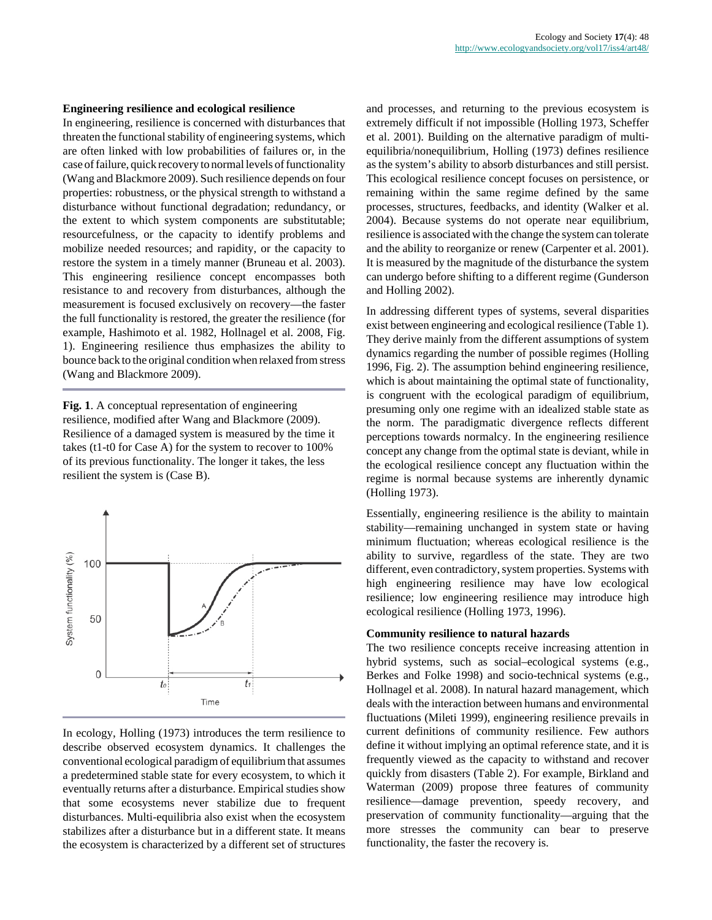#### **Engineering resilience and ecological resilience**

In engineering, resilience is concerned with disturbances that threaten the functional stability of engineering systems, which are often linked with low probabilities of failures or, in the case of failure, quick recovery to normal levels of functionality (Wang and Blackmore 2009). Such resilience depends on four properties: robustness, or the physical strength to withstand a disturbance without functional degradation; redundancy, or the extent to which system components are substitutable; resourcefulness, or the capacity to identify problems and mobilize needed resources; and rapidity, or the capacity to restore the system in a timely manner (Bruneau et al. 2003). This engineering resilience concept encompasses both resistance to and recovery from disturbances, although the measurement is focused exclusively on recovery—the faster the full functionality is restored, the greater the resilience (for example, Hashimoto et al. 1982, Hollnagel et al. 2008, Fig. 1). Engineering resilience thus emphasizes the ability to bounce back to the original condition when relaxed from stress (Wang and Blackmore 2009).

**Fig. 1**. A conceptual representation of engineering resilience, modified after Wang and Blackmore (2009). Resilience of a damaged system is measured by the time it takes (t1-t0 for Case A) for the system to recover to 100% of its previous functionality. The longer it takes, the less resilient the system is (Case B).



In ecology, Holling (1973) introduces the term resilience to describe observed ecosystem dynamics. It challenges the conventional ecological paradigm of equilibrium that assumes a predetermined stable state for every ecosystem, to which it eventually returns after a disturbance. Empirical studies show that some ecosystems never stabilize due to frequent disturbances. Multi-equilibria also exist when the ecosystem stabilizes after a disturbance but in a different state. It means the ecosystem is characterized by a different set of structures

and processes, and returning to the previous ecosystem is extremely difficult if not impossible (Holling 1973, Scheffer et al. 2001). Building on the alternative paradigm of multiequilibria/nonequilibrium, Holling (1973) defines resilience as the system's ability to absorb disturbances and still persist. This ecological resilience concept focuses on persistence, or remaining within the same regime defined by the same processes, structures, feedbacks, and identity (Walker et al. 2004). Because systems do not operate near equilibrium, resilience is associated with the change the system can tolerate and the ability to reorganize or renew (Carpenter et al. 2001). It is measured by the magnitude of the disturbance the system can undergo before shifting to a different regime (Gunderson and Holling 2002).

In addressing different types of systems, several disparities exist between engineering and ecological resilience (Table 1). They derive mainly from the different assumptions of system dynamics regarding the number of possible regimes (Holling 1996, Fig. 2). The assumption behind engineering resilience, which is about maintaining the optimal state of functionality, is congruent with the ecological paradigm of equilibrium. presuming only one regime with an idealized stable state as the norm. The paradigmatic divergence reflects different perceptions towards normalcy. In the engineering resilience concept any change from the optimal state is deviant, while in the ecological resilience concept any fluctuation within the regime is normal because systems are inherently dynamic (Holling 1973).

Essentially, engineering resilience is the ability to maintain stability—remaining unchanged in system state or having minimum fluctuation; whereas ecological resilience is the ability to survive, regardless of the state. They are two different, even contradictory, system properties. Systems with high engineering resilience may have low ecological resilience; low engineering resilience may introduce high ecological resilience (Holling 1973, 1996).

#### **Community resilience to natural hazards**

The two resilience concepts receive increasing attention in hybrid systems, such as social–ecological systems (e.g., Berkes and Folke 1998) and socio-technical systems (e.g., Hollnagel et al. 2008). In natural hazard management, which deals with the interaction between humans and environmental fluctuations (Mileti 1999), engineering resilience prevails in current definitions of community resilience. Few authors define it without implying an optimal reference state, and it is frequently viewed as the capacity to withstand and recover quickly from disasters (Table 2). For example, Birkland and Waterman (2009) propose three features of community resilience—damage prevention, speedy recovery, and preservation of community functionality—arguing that the more stresses the community can bear to preserve functionality, the faster the recovery is.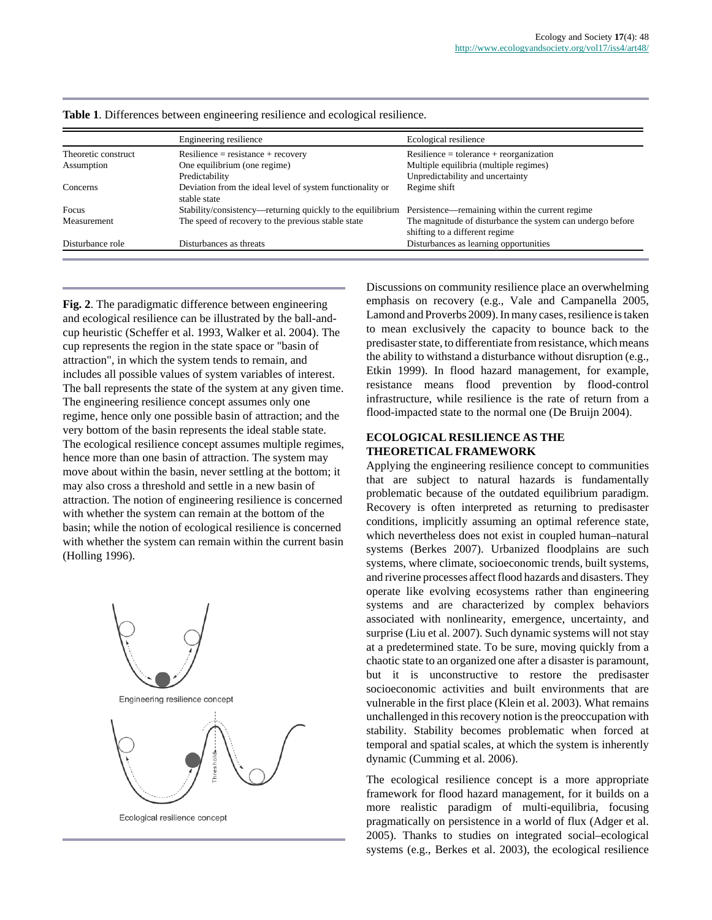|                     | Engineering resilience                                                    | Ecological resilience                                                                         |
|---------------------|---------------------------------------------------------------------------|-----------------------------------------------------------------------------------------------|
| Theoretic construct | $Resilience = resistance + recovery$                                      | $Resilience = tolerance + reorganization$                                                     |
| Assumption          | One equilibrium (one regime)                                              | Multiple equilibria (multiple regimes)                                                        |
|                     | Predictability                                                            | Unpredictability and uncertainty                                                              |
| Concerns            | Deviation from the ideal level of system functionality or<br>stable state | Regime shift                                                                                  |
| Focus               | Stability/consistency—returning quickly to the equilibrium                | Persistence—remaining within the current regime                                               |
| Measurement         | The speed of recovery to the previous stable state                        | The magnitude of disturbance the system can undergo before<br>shifting to a different regime. |
| Disturbance role    | Disturbances as threats                                                   | Disturbances as learning opportunities                                                        |

**Table 1**. Differences between engineering resilience and ecological resilience.

**Fig. 2**. The paradigmatic difference between engineering and ecological resilience can be illustrated by the ball-andcup heuristic (Scheffer et al. 1993, Walker et al. 2004). The cup represents the region in the state space or "basin of attraction", in which the system tends to remain, and includes all possible values of system variables of interest. The ball represents the state of the system at any given time. The engineering resilience concept assumes only one regime, hence only one possible basin of attraction; and the very bottom of the basin represents the ideal stable state. The ecological resilience concept assumes multiple regimes, hence more than one basin of attraction. The system may move about within the basin, never settling at the bottom; it may also cross a threshold and settle in a new basin of attraction. The notion of engineering resilience is concerned with whether the system can remain at the bottom of the basin; while the notion of ecological resilience is concerned with whether the system can remain within the current basin (Holling 1996).



Discussions on community resilience place an overwhelming emphasis on recovery (e.g., Vale and Campanella 2005, Lamond and Proverbs 2009). In many cases, resilience is taken to mean exclusively the capacity to bounce back to the predisaster state, to differentiate from resistance, which means the ability to withstand a disturbance without disruption (e.g., Etkin 1999). In flood hazard management, for example, resistance means flood prevention by flood-control infrastructure, while resilience is the rate of return from a flood-impacted state to the normal one (De Bruijn 2004).

# **ECOLOGICAL RESILIENCE AS THE THEORETICAL FRAMEWORK**

Applying the engineering resilience concept to communities that are subject to natural hazards is fundamentally problematic because of the outdated equilibrium paradigm. Recovery is often interpreted as returning to predisaster conditions, implicitly assuming an optimal reference state, which nevertheless does not exist in coupled human–natural systems (Berkes 2007). Urbanized floodplains are such systems, where climate, socioeconomic trends, built systems, and riverine processes affect flood hazards and disasters. They operate like evolving ecosystems rather than engineering systems and are characterized by complex behaviors associated with nonlinearity, emergence, uncertainty, and surprise (Liu et al. 2007). Such dynamic systems will not stay at a predetermined state. To be sure, moving quickly from a chaotic state to an organized one after a disaster is paramount, but it is unconstructive to restore the predisaster socioeconomic activities and built environments that are vulnerable in the first place (Klein et al. 2003). What remains unchallenged in this recovery notion is the preoccupation with stability. Stability becomes problematic when forced at temporal and spatial scales, at which the system is inherently dynamic (Cumming et al. 2006).

The ecological resilience concept is a more appropriate framework for flood hazard management, for it builds on a more realistic paradigm of multi-equilibria, focusing pragmatically on persistence in a world of flux (Adger et al. 2005). Thanks to studies on integrated social–ecological systems (e.g., Berkes et al. 2003), the ecological resilience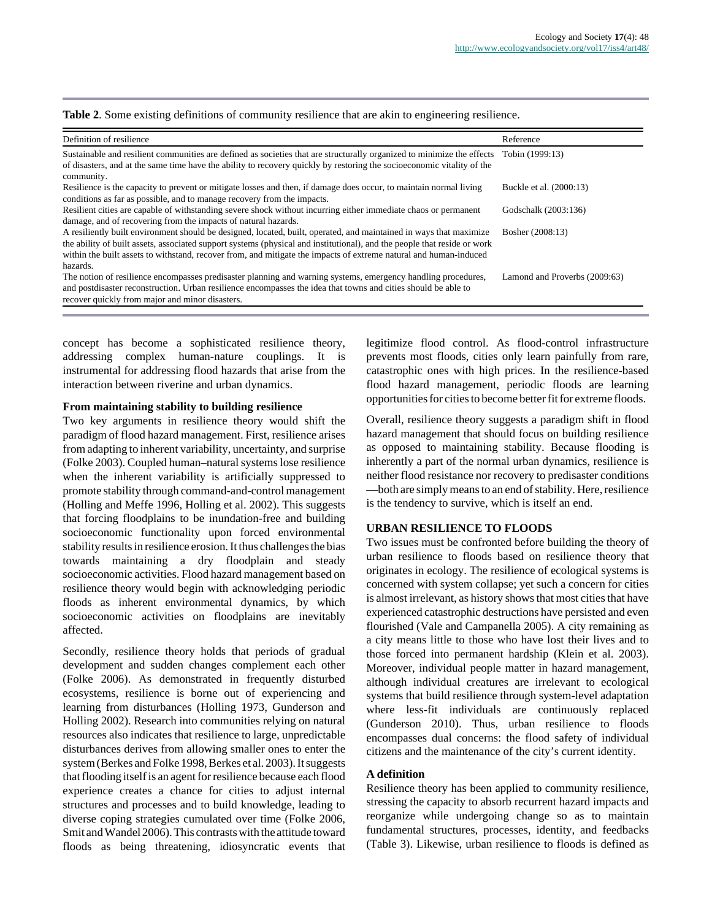#### Table 2. Some existing definitions of community resilience that are akin to engineering resilience.

| Definition of resilience                                                                                                                                                                                                                                                                                                                                                        | Reference                     |  |
|---------------------------------------------------------------------------------------------------------------------------------------------------------------------------------------------------------------------------------------------------------------------------------------------------------------------------------------------------------------------------------|-------------------------------|--|
| Sustainable and resilient communities are defined as societies that are structurally organized to minimize the effects<br>of disasters, and at the same time have the ability to recovery quickly by restoring the socioeconomic vitality of the<br>community.                                                                                                                  | Tobin (1999:13)               |  |
| Resilience is the capacity to prevent or mitigate losses and then, if damage does occur, to maintain normal living<br>conditions as far as possible, and to manage recovery from the impacts.                                                                                                                                                                                   | Buckle et al. (2000:13)       |  |
| Resilient cities are capable of withstanding severe shock without incurring either immediate chaos or permanent<br>damage, and of recovering from the impacts of natural hazards.                                                                                                                                                                                               | Godschalk (2003:136)          |  |
| A resiliently built environment should be designed, located, built, operated, and maintained in ways that maximize<br>the ability of built assets, associated support systems (physical and institutional), and the people that reside or work<br>within the built assets to withstand, recover from, and mitigate the impacts of extreme natural and human-induced<br>hazards. | Bosher (2008:13)              |  |
| The notion of resilience encompasses predisaster planning and warning systems, emergency handling procedures,<br>and postdisaster reconstruction. Urban resilience encompasses the idea that towns and cities should be able to<br>recover quickly from major and minor disasters.                                                                                              | Lamond and Proverbs (2009:63) |  |

concept has become a sophisticated resilience theory, addressing complex human-nature couplings. It is instrumental for addressing flood hazards that arise from the interaction between riverine and urban dynamics.

#### **From maintaining stability to building resilience**

Two key arguments in resilience theory would shift the paradigm of flood hazard management. First, resilience arises from adapting to inherent variability, uncertainty, and surprise (Folke 2003). Coupled human–natural systems lose resilience when the inherent variability is artificially suppressed to promote stability through command-and-control management (Holling and Meffe 1996, Holling et al. 2002). This suggests that forcing floodplains to be inundation-free and building socioeconomic functionality upon forced environmental stability results in resilience erosion. It thus challenges the bias towards maintaining a dry floodplain and steady socioeconomic activities. Flood hazard management based on resilience theory would begin with acknowledging periodic floods as inherent environmental dynamics, by which socioeconomic activities on floodplains are inevitably affected.

Secondly, resilience theory holds that periods of gradual development and sudden changes complement each other (Folke 2006). As demonstrated in frequently disturbed ecosystems, resilience is borne out of experiencing and learning from disturbances (Holling 1973, Gunderson and Holling 2002). Research into communities relying on natural resources also indicates that resilience to large, unpredictable disturbances derives from allowing smaller ones to enter the system (Berkes and Folke 1998, Berkes et al. 2003). It suggests that flooding itself is an agent for resilience because each flood experience creates a chance for cities to adjust internal structures and processes and to build knowledge, leading to diverse coping strategies cumulated over time (Folke 2006, Smit and Wandel 2006). This contrasts with the attitude toward floods as being threatening, idiosyncratic events that legitimize flood control. As flood-control infrastructure prevents most floods, cities only learn painfully from rare, catastrophic ones with high prices. In the resilience-based flood hazard management, periodic floods are learning opportunities for cities to become better fit for extreme floods.

Overall, resilience theory suggests a paradigm shift in flood hazard management that should focus on building resilience as opposed to maintaining stability. Because flooding is inherently a part of the normal urban dynamics, resilience is neither flood resistance nor recovery to predisaster conditions —both are simply means to an end of stability. Here, resilience is the tendency to survive, which is itself an end.

#### **URBAN RESILIENCE TO FLOODS**

Two issues must be confronted before building the theory of urban resilience to floods based on resilience theory that originates in ecology. The resilience of ecological systems is concerned with system collapse; yet such a concern for cities is almost irrelevant, as history shows that most cities that have experienced catastrophic destructions have persisted and even flourished (Vale and Campanella 2005). A city remaining as a city means little to those who have lost their lives and to those forced into permanent hardship (Klein et al. 2003). Moreover, individual people matter in hazard management, although individual creatures are irrelevant to ecological systems that build resilience through system-level adaptation where less-fit individuals are continuously replaced (Gunderson 2010). Thus, urban resilience to floods encompasses dual concerns: the flood safety of individual citizens and the maintenance of the city's current identity.

## **A definition**

Resilience theory has been applied to community resilience, stressing the capacity to absorb recurrent hazard impacts and reorganize while undergoing change so as to maintain fundamental structures, processes, identity, and feedbacks (Table 3). Likewise, urban resilience to floods is defined as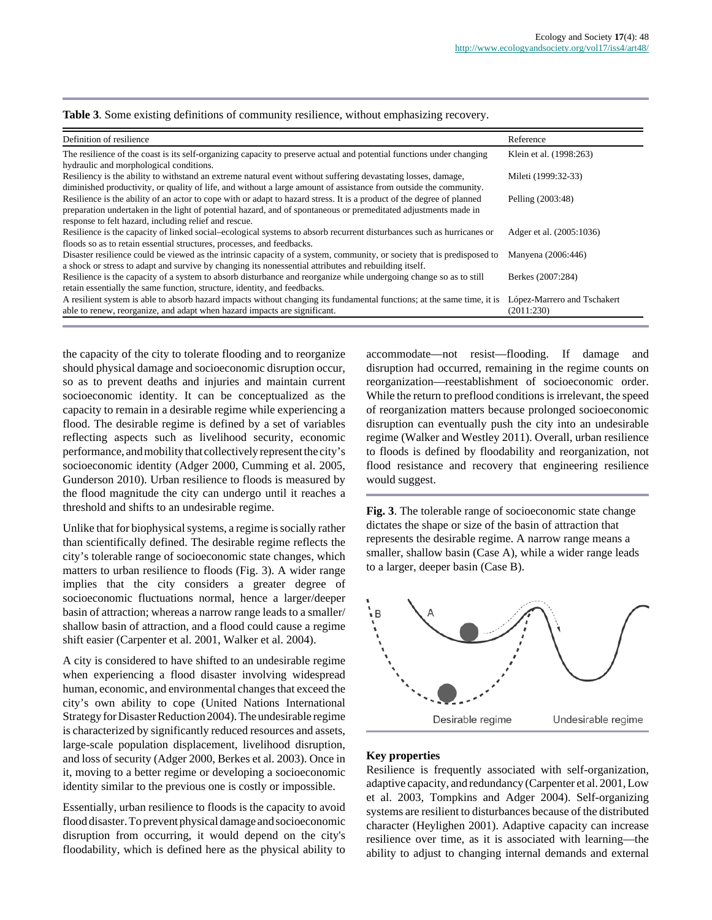#### **Table 3**. Some existing definitions of community resilience, without emphasizing recovery.

| Definition of resilience                                                                                                                                                                                                                                                                           | Reference                   |
|----------------------------------------------------------------------------------------------------------------------------------------------------------------------------------------------------------------------------------------------------------------------------------------------------|-----------------------------|
| The resilience of the coast is its self-organizing capacity to preserve actual and potential functions under changing<br>hydraulic and morphological conditions.                                                                                                                                   | Klein et al. (1998:263)     |
| Resiliency is the ability to withstand an extreme natural event without suffering devastating losses, damage,<br>diminished productivity, or quality of life, and without a large amount of assistance from outside the community.                                                                 | Mileti (1999:32-33)         |
| Resilience is the ability of an actor to cope with or adapt to hazard stress. It is a product of the degree of planned<br>preparation undertaken in the light of potential hazard, and of spontaneous or premeditated adjustments made in<br>response to felt hazard, including relief and rescue. | Pelling (2003:48)           |
| Resilience is the capacity of linked social-ecological systems to absorb recurrent disturbances such as hurricanes or<br>floods so as to retain essential structures, processes, and feedbacks.                                                                                                    | Adger et al. (2005:1036)    |
| Disaster resilience could be viewed as the intrinsic capacity of a system, community, or society that is predisposed to<br>a shock or stress to adapt and survive by changing its nonessential attributes and rebuilding itself.                                                                   | Manyena (2006:446)          |
| Resilience is the capacity of a system to absorb disturbance and reorganize while undergoing change so as to still<br>retain essentially the same function, structure, identity, and feedbacks.                                                                                                    | Berkes (2007:284)           |
| A resilient system is able to absorb hazard impacts without changing its fundamental functions; at the same time, it is                                                                                                                                                                            | López-Marrero and Tschakert |
| able to renew, reorganize, and adapt when hazard impacts are significant.                                                                                                                                                                                                                          | (2011:230)                  |

the capacity of the city to tolerate flooding and to reorganize should physical damage and socioeconomic disruption occur, so as to prevent deaths and injuries and maintain current socioeconomic identity. It can be conceptualized as the capacity to remain in a desirable regime while experiencing a flood. The desirable regime is defined by a set of variables reflecting aspects such as livelihood security, economic performance, and mobility that collectively represent the city's socioeconomic identity (Adger 2000, Cumming et al. 2005, Gunderson 2010). Urban resilience to floods is measured by the flood magnitude the city can undergo until it reaches a threshold and shifts to an undesirable regime.

Unlike that for biophysical systems, a regime is socially rather than scientifically defined. The desirable regime reflects the city's tolerable range of socioeconomic state changes, which matters to urban resilience to floods (Fig. 3). A wider range implies that the city considers a greater degree of socioeconomic fluctuations normal, hence a larger/deeper basin of attraction; whereas a narrow range leads to a smaller/ shallow basin of attraction, and a flood could cause a regime shift easier (Carpenter et al. 2001, Walker et al. 2004).

A city is considered to have shifted to an undesirable regime when experiencing a flood disaster involving widespread human, economic, and environmental changes that exceed the city's own ability to cope (United Nations International Strategy for Disaster Reduction 2004). The undesirable regime is characterized by significantly reduced resources and assets, large-scale population displacement, livelihood disruption, and loss of security (Adger 2000, Berkes et al. 2003). Once in it, moving to a better regime or developing a socioeconomic identity similar to the previous one is costly or impossible.

Essentially, urban resilience to floods is the capacity to avoid flood disaster. To prevent physical damage and socioeconomic disruption from occurring, it would depend on the city's floodability, which is defined here as the physical ability to accommodate—not resist—flooding. If damage and disruption had occurred, remaining in the regime counts on reorganization—reestablishment of socioeconomic order. While the return to preflood conditions is irrelevant, the speed of reorganization matters because prolonged socioeconomic disruption can eventually push the city into an undesirable regime (Walker and Westley 2011). Overall, urban resilience to floods is defined by floodability and reorganization, not flood resistance and recovery that engineering resilience would suggest.

**Fig. 3**. The tolerable range of socioeconomic state change dictates the shape or size of the basin of attraction that represents the desirable regime. A narrow range means a smaller, shallow basin (Case A), while a wider range leads to a larger, deeper basin (Case B).



### **Key properties**

Resilience is frequently associated with self-organization, adaptive capacity, and redundancy (Carpenter et al. 2001, Low et al. 2003, Tompkins and Adger 2004). Self-organizing systems are resilient to disturbances because of the distributed character (Heylighen 2001). Adaptive capacity can increase resilience over time, as it is associated with learning—the ability to adjust to changing internal demands and external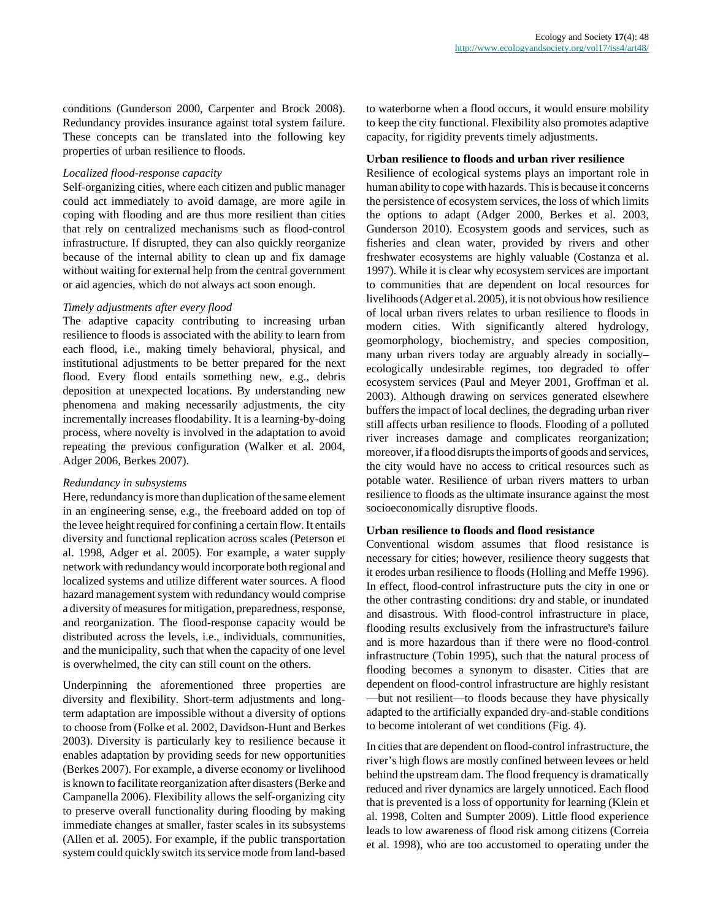conditions (Gunderson 2000, Carpenter and Brock 2008). Redundancy provides insurance against total system failure. These concepts can be translated into the following key properties of urban resilience to floods.

#### *Localized flood-response capacity*

Self-organizing cities, where each citizen and public manager could act immediately to avoid damage, are more agile in coping with flooding and are thus more resilient than cities that rely on centralized mechanisms such as flood-control infrastructure. If disrupted, they can also quickly reorganize because of the internal ability to clean up and fix damage without waiting for external help from the central government or aid agencies, which do not always act soon enough.

## *Timely adjustments after every flood*

The adaptive capacity contributing to increasing urban resilience to floods is associated with the ability to learn from each flood, i.e., making timely behavioral, physical, and institutional adjustments to be better prepared for the next flood. Every flood entails something new, e.g., debris deposition at unexpected locations. By understanding new phenomena and making necessarily adjustments, the city incrementally increases floodability. It is a learning-by-doing process, where novelty is involved in the adaptation to avoid repeating the previous configuration (Walker et al. 2004, Adger 2006, Berkes 2007).

#### *Redundancy in subsystems*

Here, redundancy is more than duplication of the same element in an engineering sense, e.g., the freeboard added on top of the levee height required for confining a certain flow. It entails diversity and functional replication across scales (Peterson et al. 1998, Adger et al. 2005). For example, a water supply network with redundancy would incorporate both regional and localized systems and utilize different water sources. A flood hazard management system with redundancy would comprise a diversity of measures for mitigation, preparedness, response, and reorganization. The flood-response capacity would be distributed across the levels, i.e., individuals, communities, and the municipality, such that when the capacity of one level is overwhelmed, the city can still count on the others.

Underpinning the aforementioned three properties are diversity and flexibility. Short-term adjustments and longterm adaptation are impossible without a diversity of options to choose from (Folke et al. 2002, Davidson-Hunt and Berkes 2003). Diversity is particularly key to resilience because it enables adaptation by providing seeds for new opportunities (Berkes 2007). For example, a diverse economy or livelihood is known to facilitate reorganization after disasters (Berke and Campanella 2006). Flexibility allows the self-organizing city to preserve overall functionality during flooding by making immediate changes at smaller, faster scales in its subsystems (Allen et al. 2005). For example, if the public transportation system could quickly switch its service mode from land-based to waterborne when a flood occurs, it would ensure mobility to keep the city functional. Flexibility also promotes adaptive capacity, for rigidity prevents timely adjustments.

## **Urban resilience to floods and urban river resilience**

Resilience of ecological systems plays an important role in human ability to cope with hazards. This is because it concerns the persistence of ecosystem services, the loss of which limits the options to adapt (Adger 2000, Berkes et al. 2003, Gunderson 2010). Ecosystem goods and services, such as fisheries and clean water, provided by rivers and other freshwater ecosystems are highly valuable (Costanza et al. 1997). While it is clear why ecosystem services are important to communities that are dependent on local resources for livelihoods (Adger et al. 2005), it is not obvious how resilience of local urban rivers relates to urban resilience to floods in modern cities. With significantly altered hydrology, geomorphology, biochemistry, and species composition, many urban rivers today are arguably already in socially– ecologically undesirable regimes, too degraded to offer ecosystem services (Paul and Meyer 2001, Groffman et al. 2003). Although drawing on services generated elsewhere buffers the impact of local declines, the degrading urban river still affects urban resilience to floods. Flooding of a polluted river increases damage and complicates reorganization; moreover, if a flood disrupts the imports of goods and services, the city would have no access to critical resources such as potable water. Resilience of urban rivers matters to urban resilience to floods as the ultimate insurance against the most socioeconomically disruptive floods.

#### **Urban resilience to floods and flood resistance**

Conventional wisdom assumes that flood resistance is necessary for cities; however, resilience theory suggests that it erodes urban resilience to floods (Holling and Meffe 1996). In effect, flood-control infrastructure puts the city in one or the other contrasting conditions: dry and stable, or inundated and disastrous. With flood-control infrastructure in place, flooding results exclusively from the infrastructure's failure and is more hazardous than if there were no flood-control infrastructure (Tobin 1995), such that the natural process of flooding becomes a synonym to disaster. Cities that are dependent on flood-control infrastructure are highly resistant —but not resilient—to floods because they have physically adapted to the artificially expanded dry-and-stable conditions to become intolerant of wet conditions (Fig. 4).

In cities that are dependent on flood-control infrastructure, the river's high flows are mostly confined between levees or held behind the upstream dam. The flood frequency is dramatically reduced and river dynamics are largely unnoticed. Each flood that is prevented is a loss of opportunity for learning (Klein et al. 1998, Colten and Sumpter 2009). Little flood experience leads to low awareness of flood risk among citizens (Correia et al. 1998), who are too accustomed to operating under the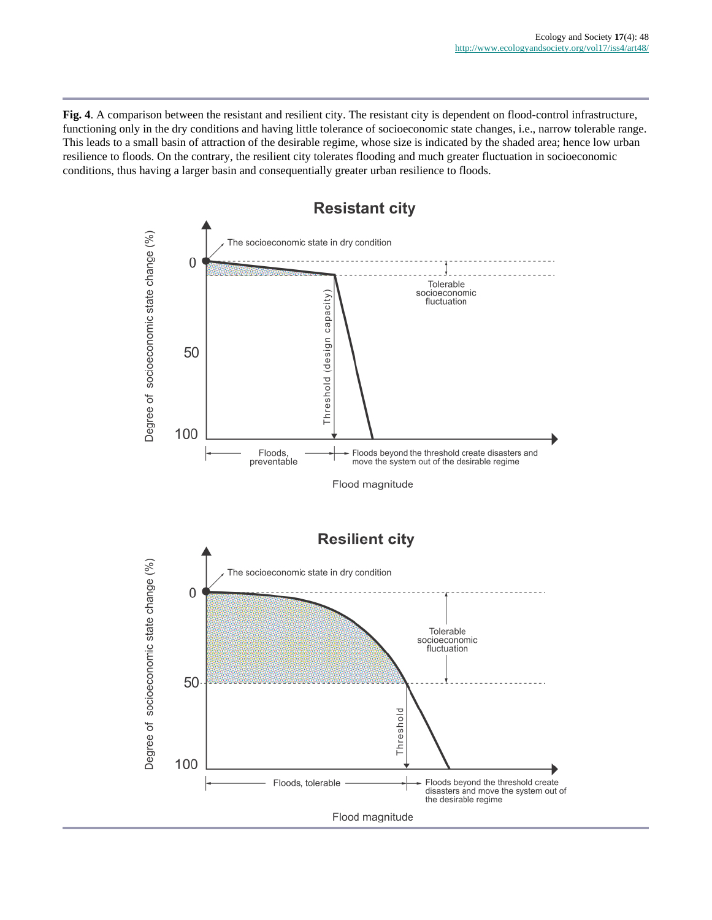**Fig. 4**. A comparison between the resistant and resilient city. The resistant city is dependent on flood-control infrastructure, functioning only in the dry conditions and having little tolerance of socioeconomic state changes, i.e., narrow tolerable range. This leads to a small basin of attraction of the desirable regime, whose size is indicated by the shaded area; hence low urban resilience to floods. On the contrary, the resilient city tolerates flooding and much greater fluctuation in socioeconomic conditions, thus having a larger basin and consequentially greater urban resilience to floods.

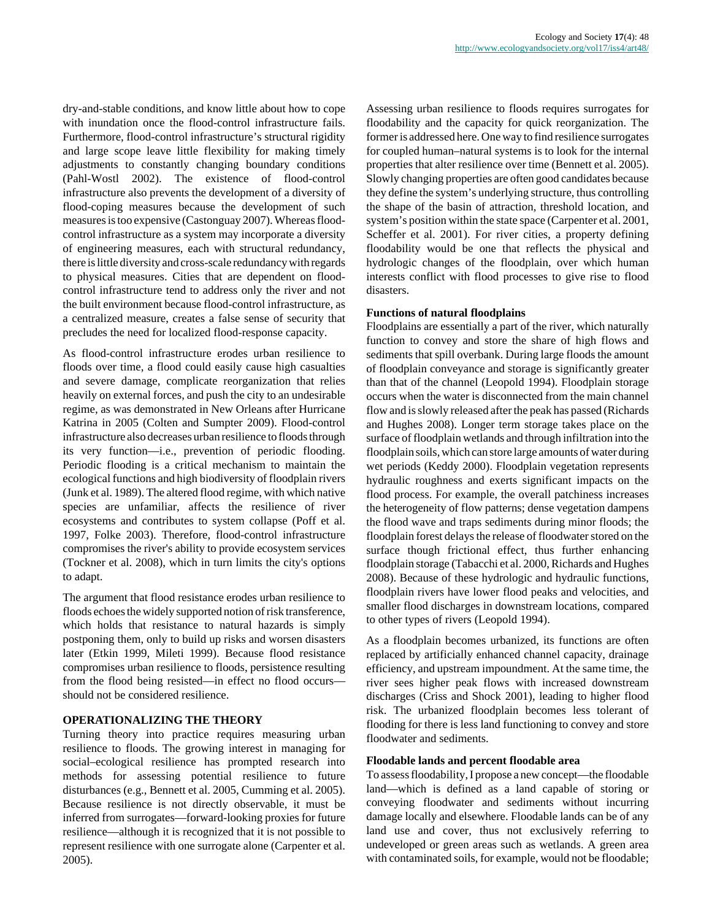dry-and-stable conditions, and know little about how to cope with inundation once the flood-control infrastructure fails. Furthermore, flood-control infrastructure's structural rigidity and large scope leave little flexibility for making timely adjustments to constantly changing boundary conditions (Pahl-Wostl 2002). The existence of flood-control infrastructure also prevents the development of a diversity of flood-coping measures because the development of such measures is too expensive (Castonguay 2007). Whereas floodcontrol infrastructure as a system may incorporate a diversity of engineering measures, each with structural redundancy, there is little diversity and cross-scale redundancy with regards to physical measures. Cities that are dependent on floodcontrol infrastructure tend to address only the river and not the built environment because flood-control infrastructure, as a centralized measure, creates a false sense of security that precludes the need for localized flood-response capacity.

As flood-control infrastructure erodes urban resilience to floods over time, a flood could easily cause high casualties and severe damage, complicate reorganization that relies heavily on external forces, and push the city to an undesirable regime, as was demonstrated in New Orleans after Hurricane Katrina in 2005 (Colten and Sumpter 2009). Flood-control infrastructure also decreases urban resilience to floods through its very function—i.e., prevention of periodic flooding. Periodic flooding is a critical mechanism to maintain the ecological functions and high biodiversity of floodplain rivers (Junk et al. 1989). The altered flood regime, with which native species are unfamiliar, affects the resilience of river ecosystems and contributes to system collapse (Poff et al. 1997, Folke 2003). Therefore, flood-control infrastructure compromises the river's ability to provide ecosystem services (Tockner et al. 2008), which in turn limits the city's options to adapt.

The argument that flood resistance erodes urban resilience to floods echoes the widely supported notion of risk transference, which holds that resistance to natural hazards is simply postponing them, only to build up risks and worsen disasters later (Etkin 1999, Mileti 1999). Because flood resistance compromises urban resilience to floods, persistence resulting from the flood being resisted—in effect no flood occurs should not be considered resilience.

# **OPERATIONALIZING THE THEORY**

Turning theory into practice requires measuring urban resilience to floods. The growing interest in managing for social–ecological resilience has prompted research into methods for assessing potential resilience to future disturbances (e.g., Bennett et al. 2005, Cumming et al. 2005). Because resilience is not directly observable, it must be inferred from surrogates—forward-looking proxies for future resilience—although it is recognized that it is not possible to represent resilience with one surrogate alone (Carpenter et al. 2005).

Assessing urban resilience to floods requires surrogates for floodability and the capacity for quick reorganization. The former is addressed here. One way to find resilience surrogates for coupled human–natural systems is to look for the internal properties that alter resilience over time (Bennett et al. 2005). Slowly changing properties are often good candidates because they define the system's underlying structure, thus controlling the shape of the basin of attraction, threshold location, and system's position within the state space (Carpenter et al. 2001, Scheffer et al. 2001). For river cities, a property defining floodability would be one that reflects the physical and hydrologic changes of the floodplain, over which human interests conflict with flood processes to give rise to flood disasters.

## **Functions of natural floodplains**

Floodplains are essentially a part of the river, which naturally function to convey and store the share of high flows and sediments that spill overbank. During large floods the amount of floodplain conveyance and storage is significantly greater than that of the channel (Leopold 1994). Floodplain storage occurs when the water is disconnected from the main channel flow and is slowly released after the peak has passed (Richards and Hughes 2008). Longer term storage takes place on the surface of floodplain wetlands and through infiltration into the floodplain soils, which can store large amounts of water during wet periods (Keddy 2000). Floodplain vegetation represents hydraulic roughness and exerts significant impacts on the flood process. For example, the overall patchiness increases the heterogeneity of flow patterns; dense vegetation dampens the flood wave and traps sediments during minor floods; the floodplain forest delays the release of floodwater stored on the surface though frictional effect, thus further enhancing floodplain storage (Tabacchi et al. 2000, Richards and Hughes 2008). Because of these hydrologic and hydraulic functions, floodplain rivers have lower flood peaks and velocities, and smaller flood discharges in downstream locations, compared to other types of rivers (Leopold 1994).

As a floodplain becomes urbanized, its functions are often replaced by artificially enhanced channel capacity, drainage efficiency, and upstream impoundment. At the same time, the river sees higher peak flows with increased downstream discharges (Criss and Shock 2001), leading to higher flood risk. The urbanized floodplain becomes less tolerant of flooding for there is less land functioning to convey and store floodwater and sediments.

#### **Floodable lands and percent floodable area**

To assess floodability, I propose a new concept—the floodable land—which is defined as a land capable of storing or conveying floodwater and sediments without incurring damage locally and elsewhere. Floodable lands can be of any land use and cover, thus not exclusively referring to undeveloped or green areas such as wetlands. A green area with contaminated soils, for example, would not be floodable;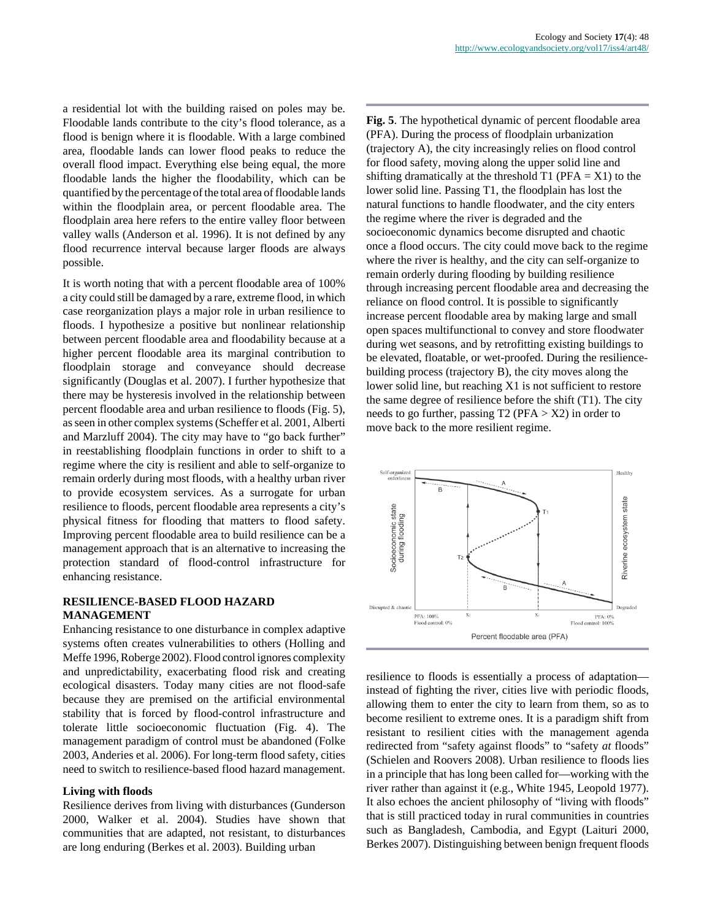a residential lot with the building raised on poles may be. Floodable lands contribute to the city's flood tolerance, as a flood is benign where it is floodable. With a large combined area, floodable lands can lower flood peaks to reduce the overall flood impact. Everything else being equal, the more floodable lands the higher the floodability, which can be quantified by the percentage of the total area of floodable lands within the floodplain area, or percent floodable area. The floodplain area here refers to the entire valley floor between valley walls (Anderson et al. 1996). It is not defined by any flood recurrence interval because larger floods are always possible.

It is worth noting that with a percent floodable area of 100% a city could still be damaged by a rare, extreme flood, in which case reorganization plays a major role in urban resilience to floods. I hypothesize a positive but nonlinear relationship between percent floodable area and floodability because at a higher percent floodable area its marginal contribution to floodplain storage and conveyance should decrease significantly (Douglas et al. 2007). I further hypothesize that there may be hysteresis involved in the relationship between percent floodable area and urban resilience to floods (Fig. 5), as seen in other complex systems (Scheffer et al. 2001, Alberti and Marzluff 2004). The city may have to "go back further" in reestablishing floodplain functions in order to shift to a regime where the city is resilient and able to self-organize to remain orderly during most floods, with a healthy urban river to provide ecosystem services. As a surrogate for urban resilience to floods, percent floodable area represents a city's physical fitness for flooding that matters to flood safety. Improving percent floodable area to build resilience can be a management approach that is an alternative to increasing the protection standard of flood-control infrastructure for enhancing resistance.

## **RESILIENCE-BASED FLOOD HAZARD MANAGEMENT**

Enhancing resistance to one disturbance in complex adaptive systems often creates vulnerabilities to others (Holling and Meffe 1996, Roberge 2002). Flood control ignores complexity and unpredictability, exacerbating flood risk and creating ecological disasters. Today many cities are not flood-safe because they are premised on the artificial environmental stability that is forced by flood-control infrastructure and tolerate little socioeconomic fluctuation (Fig. 4). The management paradigm of control must be abandoned (Folke 2003, Anderies et al. 2006). For long-term flood safety, cities need to switch to resilience-based flood hazard management.

#### **Living with floods**

Resilience derives from living with disturbances (Gunderson 2000, Walker et al. 2004). Studies have shown that communities that are adapted, not resistant, to disturbances are long enduring (Berkes et al. 2003). Building urban

**Fig. 5**. The hypothetical dynamic of percent floodable area (PFA). During the process of floodplain urbanization (trajectory A), the city increasingly relies on flood control for flood safety, moving along the upper solid line and shifting dramatically at the threshold T1 ( $PFA = X1$ ) to the lower solid line. Passing T1, the floodplain has lost the natural functions to handle floodwater, and the city enters the regime where the river is degraded and the socioeconomic dynamics become disrupted and chaotic once a flood occurs. The city could move back to the regime where the river is healthy, and the city can self-organize to remain orderly during flooding by building resilience through increasing percent floodable area and decreasing the reliance on flood control. It is possible to significantly increase percent floodable area by making large and small open spaces multifunctional to convey and store floodwater during wet seasons, and by retrofitting existing buildings to be elevated, floatable, or wet-proofed. During the resiliencebuilding process (trajectory B), the city moves along the lower solid line, but reaching X1 is not sufficient to restore the same degree of resilience before the shift (T1). The city needs to go further, passing  $T2$  (PFA  $> X2$ ) in order to move back to the more resilient regime.



resilience to floods is essentially a process of adaptation instead of fighting the river, cities live with periodic floods, allowing them to enter the city to learn from them, so as to become resilient to extreme ones. It is a paradigm shift from resistant to resilient cities with the management agenda redirected from "safety against floods" to "safety *at* floods" (Schielen and Roovers 2008). Urban resilience to floods lies in a principle that has long been called for—working with the river rather than against it (e.g., White 1945, Leopold 1977). It also echoes the ancient philosophy of "living with floods" that is still practiced today in rural communities in countries such as Bangladesh, Cambodia, and Egypt (Laituri 2000, Berkes 2007). Distinguishing between benign frequent floods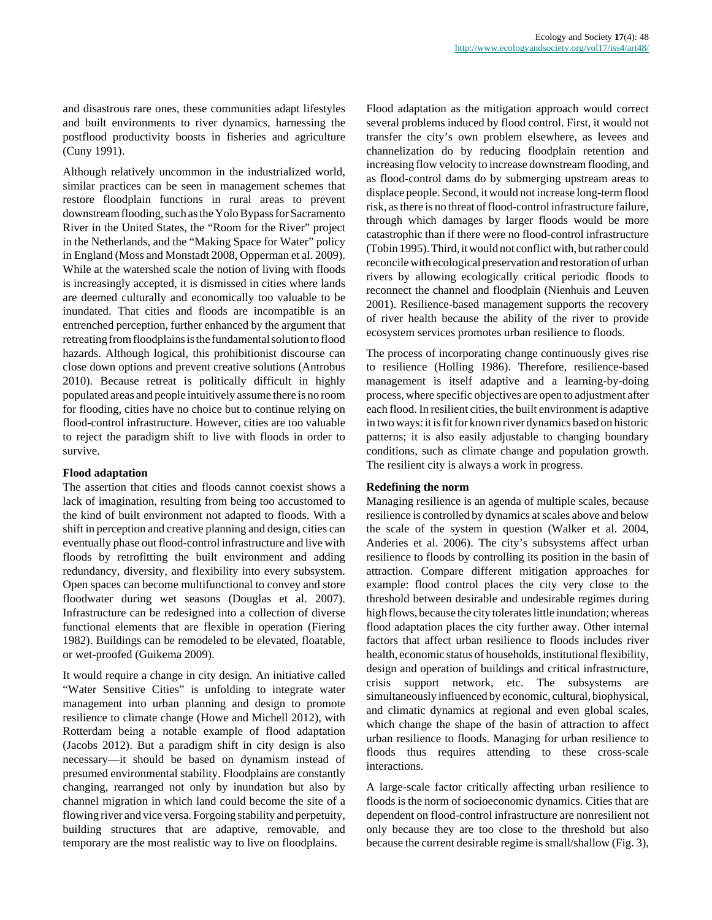and disastrous rare ones, these communities adapt lifestyles and built environments to river dynamics, harnessing the postflood productivity boosts in fisheries and agriculture (Cuny 1991).

Although relatively uncommon in the industrialized world, similar practices can be seen in management schemes that restore floodplain functions in rural areas to prevent downstream flooding, such as the Yolo Bypass for Sacramento River in the United States, the "Room for the River" project in the Netherlands, and the "Making Space for Water" policy in England (Moss and Monstadt 2008, Opperman et al. 2009). While at the watershed scale the notion of living with floods is increasingly accepted, it is dismissed in cities where lands are deemed culturally and economically too valuable to be inundated. That cities and floods are incompatible is an entrenched perception, further enhanced by the argument that retreating from floodplains is the fundamental solution to flood hazards. Although logical, this prohibitionist discourse can close down options and prevent creative solutions (Antrobus 2010). Because retreat is politically difficult in highly populated areas and people intuitively assume there is no room for flooding, cities have no choice but to continue relying on flood-control infrastructure. However, cities are too valuable to reject the paradigm shift to live with floods in order to survive.

#### **Flood adaptation**

The assertion that cities and floods cannot coexist shows a lack of imagination, resulting from being too accustomed to the kind of built environment not adapted to floods. With a shift in perception and creative planning and design, cities can eventually phase out flood-control infrastructure and live with floods by retrofitting the built environment and adding redundancy, diversity, and flexibility into every subsystem. Open spaces can become multifunctional to convey and store floodwater during wet seasons (Douglas et al. 2007). Infrastructure can be redesigned into a collection of diverse functional elements that are flexible in operation (Fiering 1982). Buildings can be remodeled to be elevated, floatable, or wet-proofed (Guikema 2009).

It would require a change in city design. An initiative called "Water Sensitive Cities" is unfolding to integrate water management into urban planning and design to promote resilience to climate change (Howe and Michell 2012), with Rotterdam being a notable example of flood adaptation (Jacobs 2012). But a paradigm shift in city design is also necessary—it should be based on dynamism instead of presumed environmental stability. Floodplains are constantly changing, rearranged not only by inundation but also by channel migration in which land could become the site of a flowing river and vice versa. Forgoing stability and perpetuity, building structures that are adaptive, removable, and temporary are the most realistic way to live on floodplains.

Flood adaptation as the mitigation approach would correct several problems induced by flood control. First, it would not transfer the city's own problem elsewhere, as levees and channelization do by reducing floodplain retention and increasing flow velocity to increase downstream flooding, and as flood-control dams do by submerging upstream areas to displace people. Second, it would not increase long-term flood risk, as there is no threat of flood-control infrastructure failure, through which damages by larger floods would be more catastrophic than if there were no flood-control infrastructure (Tobin 1995). Third, it would not conflict with, but rather could reconcile with ecological preservation and restoration of urban rivers by allowing ecologically critical periodic floods to reconnect the channel and floodplain (Nienhuis and Leuven 2001). Resilience-based management supports the recovery of river health because the ability of the river to provide ecosystem services promotes urban resilience to floods.

The process of incorporating change continuously gives rise to resilience (Holling 1986). Therefore, resilience-based management is itself adaptive and a learning-by-doing process, where specific objectives are open to adjustment after each flood. In resilient cities, the built environment is adaptive in two ways: it is fit for known river dynamics based on historic patterns; it is also easily adjustable to changing boundary conditions, such as climate change and population growth. The resilient city is always a work in progress.

# **Redefining the norm**

Managing resilience is an agenda of multiple scales, because resilience is controlled by dynamics at scales above and below the scale of the system in question (Walker et al. 2004, Anderies et al. 2006). The city's subsystems affect urban resilience to floods by controlling its position in the basin of attraction. Compare different mitigation approaches for example: flood control places the city very close to the threshold between desirable and undesirable regimes during high flows, because the city tolerates little inundation; whereas flood adaptation places the city further away. Other internal factors that affect urban resilience to floods includes river health, economic status of households, institutional flexibility, design and operation of buildings and critical infrastructure, crisis support network, etc. The subsystems are simultaneously influenced by economic, cultural, biophysical, and climatic dynamics at regional and even global scales, which change the shape of the basin of attraction to affect urban resilience to floods. Managing for urban resilience to floods thus requires attending to these cross-scale interactions.

A large-scale factor critically affecting urban resilience to floods is the norm of socioeconomic dynamics. Cities that are dependent on flood-control infrastructure are nonresilient not only because they are too close to the threshold but also because the current desirable regime is small/shallow (Fig. 3),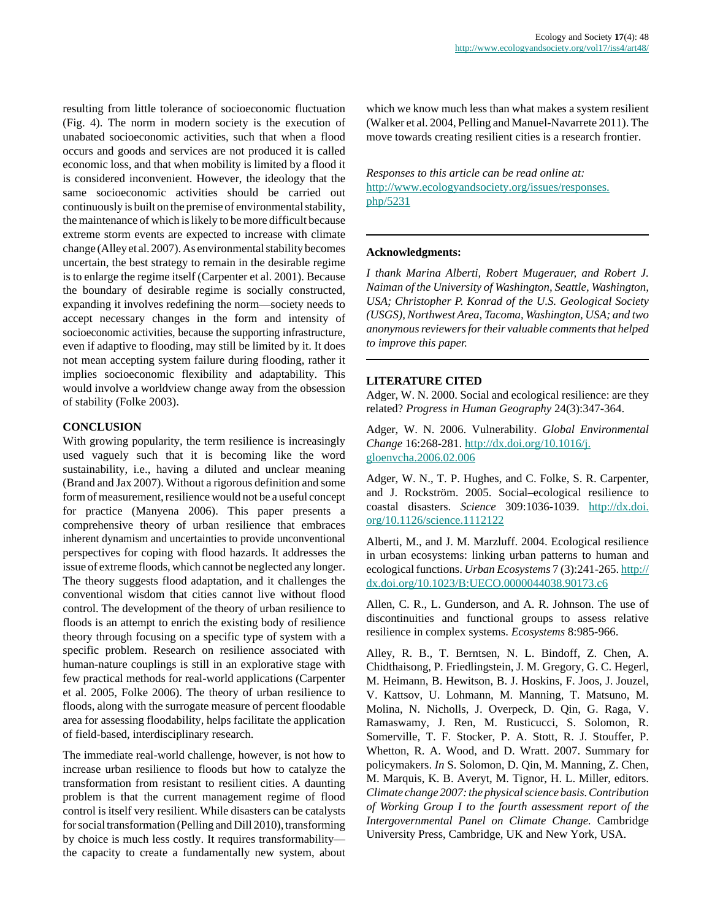resulting from little tolerance of socioeconomic fluctuation (Fig. 4). The norm in modern society is the execution of unabated socioeconomic activities, such that when a flood occurs and goods and services are not produced it is called economic loss, and that when mobility is limited by a flood it is considered inconvenient. However, the ideology that the same socioeconomic activities should be carried out continuously is built on the premise of environmental stability, the maintenance of which is likely to be more difficult because extreme storm events are expected to increase with climate change (Alley et al. 2007). As environmental stability becomes uncertain, the best strategy to remain in the desirable regime is to enlarge the regime itself (Carpenter et al. 2001). Because the boundary of desirable regime is socially constructed, expanding it involves redefining the norm—society needs to accept necessary changes in the form and intensity of socioeconomic activities, because the supporting infrastructure, even if adaptive to flooding, may still be limited by it. It does not mean accepting system failure during flooding, rather it implies socioeconomic flexibility and adaptability. This would involve a worldview change away from the obsession of stability (Folke 2003).

# **CONCLUSION**

With growing popularity, the term resilience is increasingly used vaguely such that it is becoming like the word sustainability, i.e., having a diluted and unclear meaning (Brand and Jax 2007). Without a rigorous definition and some form of measurement, resilience would not be a useful concept for practice (Manyena 2006). This paper presents a comprehensive theory of urban resilience that embraces inherent dynamism and uncertainties to provide unconventional perspectives for coping with flood hazards. It addresses the issue of extreme floods, which cannot be neglected any longer. The theory suggests flood adaptation, and it challenges the conventional wisdom that cities cannot live without flood control. The development of the theory of urban resilience to floods is an attempt to enrich the existing body of resilience theory through focusing on a specific type of system with a specific problem. Research on resilience associated with human-nature couplings is still in an explorative stage with few practical methods for real-world applications (Carpenter et al. 2005, Folke 2006). The theory of urban resilience to floods, along with the surrogate measure of percent floodable area for assessing floodability, helps facilitate the application of field-based, interdisciplinary research.

The immediate real-world challenge, however, is not how to increase urban resilience to floods but how to catalyze the transformation from resistant to resilient cities. A daunting problem is that the current management regime of flood control is itself very resilient. While disasters can be catalysts for social transformation (Pelling and Dill 2010), transforming by choice is much less costly. It requires transformability the capacity to create a fundamentally new system, about which we know much less than what makes a system resilient (Walker et al. 2004, Pelling and Manuel-Navarrete 2011). The move towards creating resilient cities is a research frontier.

*Responses to this article can be read online at:* [http://www.ecologyandsociety.org/issues/responses.](http://www.ecologyandsociety.org/issues/responses.php/5231) [php/5231](http://www.ecologyandsociety.org/issues/responses.php/5231)

#### **Acknowledgments:**

*I thank Marina Alberti, Robert Mugerauer, and Robert J. Naiman of the University of Washington, Seattle, Washington, USA; Christopher P. Konrad of the U.S. Geological Society (USGS), Northwest Area, Tacoma, Washington, USA; and two anonymous reviewers for their valuable comments that helped to improve this paper.*

## **LITERATURE CITED**

Adger, W. N. 2000. Social and ecological resilience: are they related? *Progress in Human Geography* 24(3):347-364.

Adger, W. N. 2006. Vulnerability. *Global Environmental Change* 16:268-281. [http://dx.doi.org/10.1016/j.](http://dx.doi.org/10.1016/j.gloenvcha.2006.02.006) [gloenvcha.2006.02.006](http://dx.doi.org/10.1016/j.gloenvcha.2006.02.006)

Adger, W. N., T. P. Hughes, and C. Folke, S. R. Carpenter, and J. Rockström. 2005. Social–ecological resilience to coastal disasters. *Science* 309:1036-1039. [http://dx.doi.](http://dx.doi.org/10.1126/science.1112122) [org/10.1126/science.1112122](http://dx.doi.org/10.1126/science.1112122)

Alberti, M., and J. M. Marzluff. 2004. Ecological resilience in urban ecosystems: linking urban patterns to human and ecological functions. *Urban Ecosystems* 7 (3):241-265. [http://](http://dx.doi.org/10.1023/B:UECO.0000044038.90173.c6) [dx.doi.org/10.1023/B:UECO.0000044038.90173.c6](http://dx.doi.org/10.1023/B:UECO.0000044038.90173.c6)

Allen, C. R., L. Gunderson, and A. R. Johnson. The use of discontinuities and functional groups to assess relative resilience in complex systems. *Ecosystems* 8:985-966.

Alley, R. B., T. Berntsen, N. L. Bindoff, Z. Chen, A. Chidthaisong, P. Friedlingstein, J. M. Gregory, G. C. Hegerl, M. Heimann, B. Hewitson, B. J. Hoskins, F. Joos, J. Jouzel, V. Kattsov, U. Lohmann, M. Manning, T. Matsuno, M. Molina, N. Nicholls, J. Overpeck, D. Qin, G. Raga, V. Ramaswamy, J. Ren, M. Rusticucci, S. Solomon, R. Somerville, T. F. Stocker, P. A. Stott, R. J. Stouffer, P. Whetton, R. A. Wood, and D. Wratt. 2007. Summary for policymakers. *In* S. Solomon, D. Qin, M. Manning, Z. Chen, M. Marquis, K. B. Averyt, M. Tignor, H. L. Miller, editors. *Climate change 2007: the physical science basis. Contribution of Working Group I to the fourth assessment report of the Intergovernmental Panel on Climate Change.* Cambridge University Press, Cambridge, UK and New York, USA.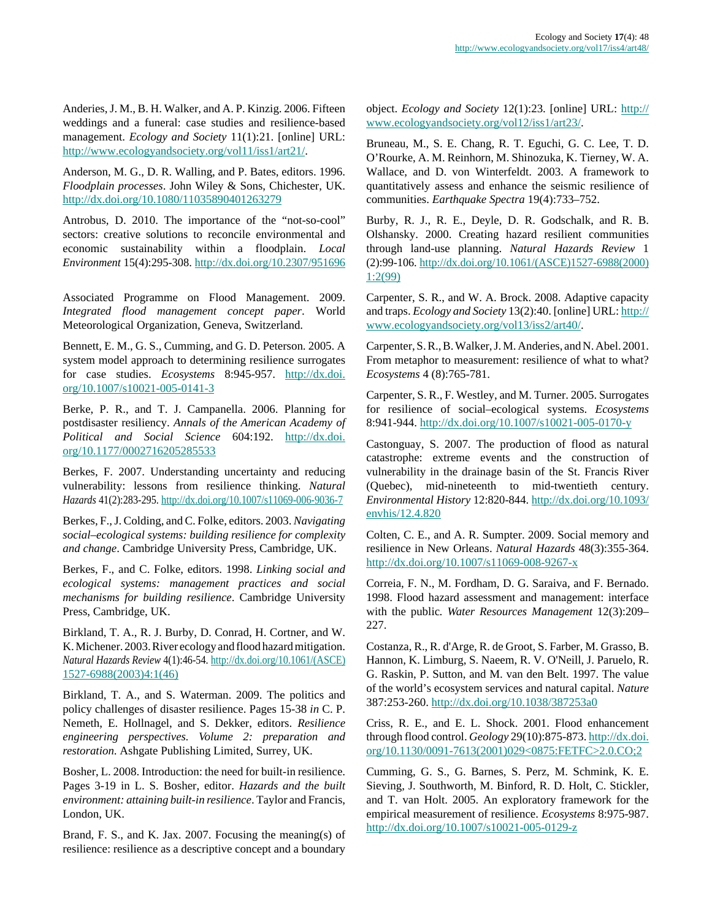Anderies, J. M., B. H. Walker, and A. P. Kinzig. 2006. Fifteen weddings and a funeral: case studies and resilience-based management. *Ecology and Society* 11(1):21. [online] URL: <http://www.ecologyandsociety.org/vol11/iss1/art21/>.

Anderson, M. G., D. R. Walling, and P. Bates, editors. 1996. *Floodplain processes*. John Wiley & Sons, Chichester, UK. <http://dx.doi.org/10.1080/11035890401263279>

Antrobus, D. 2010. The importance of the "not-so-cool" sectors: creative solutions to reconcile environmental and economic sustainability within a floodplain. *Local Environment* 15(4):295-308.<http://dx.doi.org/10.2307/951696>

Associated Programme on Flood Management. 2009. *Integrated flood management concept paper*. World Meteorological Organization, Geneva, Switzerland.

Bennett, E. M., G. S., Cumming, and G. D. Peterson. 2005. A system model approach to determining resilience surrogates for case studies. *Ecosystems* 8:945-957. [http://dx.doi.](http://dx.doi.org/10.1007/s10021-005-0141-3) [org/10.1007/s10021-005-0141-3](http://dx.doi.org/10.1007/s10021-005-0141-3)

Berke, P. R., and T. J. Campanella. 2006. Planning for postdisaster resiliency. *Annals of the American Academy of Political and Social Science* 604:192. [http://dx.doi.](http://dx.doi.org/10.1177/0002716205285533) [org/10.1177/0002716205285533](http://dx.doi.org/10.1177/0002716205285533)

Berkes, F. 2007. Understanding uncertainty and reducing vulnerability: lessons from resilience thinking. *Natural Hazards* 41(2):283-295. <http://dx.doi.org/10.1007/s11069-006-9036-7>

Berkes, F., J. Colding, and C. Folke, editors. 2003. *Navigating social–ecological systems: building resilience for complexity and change*. Cambridge University Press, Cambridge, UK.

Berkes, F., and C. Folke, editors. 1998. *Linking social and ecological systems: management practices and social mechanisms for building resilience*. Cambridge University Press, Cambridge, UK.

Birkland, T. A., R. J. Burby, D. Conrad, H. Cortner, and W. K. Michener. 2003. River ecology and flood hazard mitigation. *Natural Hazards Review* 4(1):46-54. [http://dx.doi.org/10.1061/\(ASCE\)](http://dx.doi.org/10.1061/(ASCE)1527-6988(2003)4:1(46)) [1527-6988\(2003\)4:1\(46\)](http://dx.doi.org/10.1061/(ASCE)1527-6988(2003)4:1(46))

Birkland, T. A., and S. Waterman. 2009. The politics and policy challenges of disaster resilience. Pages 15-38 *in* C. P. Nemeth, E. Hollnagel, and S. Dekker, editors. *Resilience engineering perspectives. Volume 2: preparation and restoration*. Ashgate Publishing Limited, Surrey, UK.

Bosher, L. 2008. Introduction: the need for built-in resilience. Pages 3-19 in L. S. Bosher, editor. *Hazards and the built environment: attaining built-in resilience*. Taylor and Francis, London, UK.

Brand, F. S., and K. Jax. 2007. Focusing the meaning(s) of resilience: resilience as a descriptive concept and a boundary

object. *Ecology and Society* 12(1):23. [online] URL: [http://](http://www.ecologyandsociety.org/vol12/iss1/art23/) [www.ecologyandsociety.org/vol12/iss1/art23/](http://www.ecologyandsociety.org/vol12/iss1/art23/).

Bruneau, M., S. E. Chang, R. T. Eguchi, G. C. Lee, T. D. O'Rourke, A. M. Reinhorn, M. Shinozuka, K. Tierney, W. A. Wallace, and D. von Winterfeldt. 2003. A framework to quantitatively assess and enhance the seismic resilience of communities. *Earthquake Spectra* 19(4):733–752.

Burby, R. J., R. E., Deyle, D. R. Godschalk, and R. B. Olshansky. 2000. Creating hazard resilient communities through land-use planning. *Natural Hazards Review* 1 (2):99-106. [http://dx.doi.org/10.1061/\(ASCE\)1527-6988\(2000\)](http://dx.doi.org/10.1061/(ASCE)1527-6988(2000)1:2(99)) [1:2\(99\)](http://dx.doi.org/10.1061/(ASCE)1527-6988(2000)1:2(99))

Carpenter, S. R., and W. A. Brock. 2008. Adaptive capacity and traps. *Ecology and Society* 13(2):40. [online] URL: [http://](http://www.ecologyandsociety.org/vol13/iss2/art40/) [www.ecologyandsociety.org/vol13/iss2/art40/](http://www.ecologyandsociety.org/vol13/iss2/art40/).

Carpenter, S. R., B. Walker, J. M. Anderies, and N. Abel. 2001. From metaphor to measurement: resilience of what to what? *Ecosystems* 4 (8):765-781.

Carpenter, S. R., F. Westley, and M. Turner. 2005. Surrogates for resilience of social–ecological systems. *Ecosystems* 8:941-944.<http://dx.doi.org/10.1007/s10021-005-0170-y>

Castonguay, S. 2007. The production of flood as natural catastrophe: extreme events and the construction of vulnerability in the drainage basin of the St. Francis River (Quebec), mid-nineteenth to mid-twentieth century. *Environmental History* 12:820-844. [http://dx.doi.org/10.1093/](http://dx.doi.org/10.1093/envhis/12.4.820) [envhis/12.4.820](http://dx.doi.org/10.1093/envhis/12.4.820)

Colten, C. E., and A. R. Sumpter. 2009. Social memory and resilience in New Orleans. *Natural Hazards* 48(3):355-364. <http://dx.doi.org/10.1007/s11069-008-9267-x>

Correia, F. N., M. Fordham, D. G. Saraiva, and F. Bernado. 1998. Flood hazard assessment and management: interface with the public*. Water Resources Management* 12(3):209– 227.

Costanza, R., R. d'Arge, R. de Groot, S. Farber, M. Grasso, B. Hannon, K. Limburg, S. Naeem, R. V. O'Neill, J. Paruelo, R. G. Raskin, P. Sutton, and M. van den Belt. 1997. The value of the world's ecosystem services and natural capital. *Nature* 387:253-260.<http://dx.doi.org/10.1038/387253a0>

Criss, R. E., and E. L. Shock. 2001. Flood enhancement through flood control. *Geology* 29(10):875-873. [http://dx.doi.](http://dx.doi.org/10.1130/0091-7613(2001)029<0875:FETFC>2.0.CO;2) [org/10.1130/0091-7613\(2001\)029<0875:FETFC>2.0.CO;2](http://dx.doi.org/10.1130/0091-7613(2001)029<0875:FETFC>2.0.CO;2)

Cumming, G. S., G. Barnes, S. Perz, M. Schmink, K. E. Sieving, J. Southworth, M. Binford, R. D. Holt, C. Stickler, and T. van Holt. 2005. An exploratory framework for the empirical measurement of resilience. *Ecosystems* 8:975-987. <http://dx.doi.org/10.1007/s10021-005-0129-z>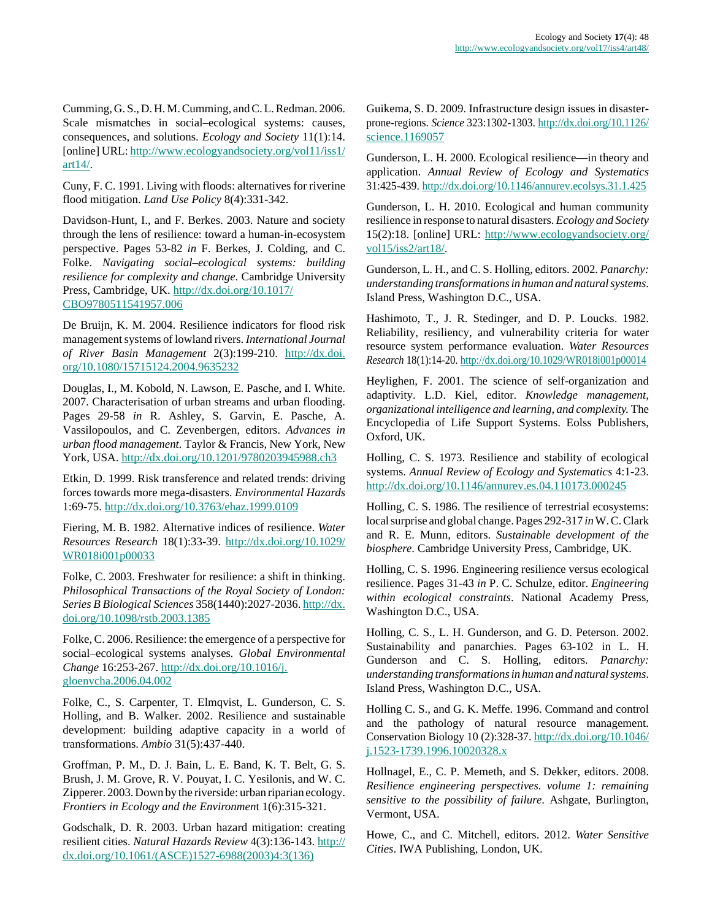Cumming, G. S., D. H. M. Cumming, and C. L. Redman. 2006. Scale mismatches in social–ecological systems: causes, consequences, and solutions. *Ecology and Society* 11(1):14. [online] URL: [http://www.ecologyandsociety.org/vol11/iss1/](http://www.ecologyandsociety.org/vol11/iss1/art14/) [art14/](http://www.ecologyandsociety.org/vol11/iss1/art14/).

Cuny, F. C. 1991. Living with floods: alternatives for riverine flood mitigation. *Land Use Policy* 8(4):331-342.

Davidson-Hunt, I., and F. Berkes. 2003. Nature and society through the lens of resilience: toward a human-in-ecosystem perspective. Pages 53-82 *in* F. Berkes, J. Colding, and C. Folke. *Navigating social–ecological systems: building resilience for complexity and change*. Cambridge University Press, Cambridge, UK. [http://dx.doi.org/10.1017/](http://dx.doi.org/10.1017/CBO9780511541957.006) [CBO9780511541957.006](http://dx.doi.org/10.1017/CBO9780511541957.006)

De Bruijn, K. M. 2004. Resilience indicators for flood risk management systems of lowland rivers. *International Journal of River Basin Management* 2(3):199-210. [http://dx.doi.](http://dx.doi.org/10.1080/15715124.2004.9635232) [org/10.1080/15715124.2004.9635232](http://dx.doi.org/10.1080/15715124.2004.9635232)

Douglas, I., M. Kobold, N. Lawson, E. Pasche, and I. White. 2007. Characterisation of urban streams and urban flooding. Pages 29-58 *in* R. Ashley, S. Garvin, E. Pasche, A. Vassilopoulos, and C. Zevenbergen, editors. *Advances in urban flood management.* Taylor & Francis, New York, New York, USA. <http://dx.doi.org/10.1201/9780203945988.ch3>

Etkin, D. 1999. Risk transference and related trends: driving forces towards more mega-disasters. *Environmental Hazards* 1:69-75.<http://dx.doi.org/10.3763/ehaz.1999.0109>

Fiering, M. B. 1982. Alternative indices of resilience. *Water Resources Research* 18(1):33-39. [http://dx.doi.org/10.1029/](http://dx.doi.org/10.1029/WR018i001p00033) [WR018i001p00033](http://dx.doi.org/10.1029/WR018i001p00033)

Folke, C. 2003. Freshwater for resilience: a shift in thinking. *Philosophical Transactions of the Royal Society of London: Series B Biological Sciences* 358(1440):2027-2036. [http://dx.](http://dx.doi.org/10.1098/rstb.2003.1385) [doi.org/10.1098/rstb.2003.1385](http://dx.doi.org/10.1098/rstb.2003.1385)

Folke, C. 2006. Resilience: the emergence of a perspective for social–ecological systems analyses*. Global Environmental Change* 16:253-267. [http://dx.doi.org/10.1016/j.](http://dx.doi.org/10.1016/j.gloenvcha.2006.04.002) [gloenvcha.2006.04.002](http://dx.doi.org/10.1016/j.gloenvcha.2006.04.002)

Folke, C., S. Carpenter, T. Elmqvist, L. Gunderson, C. S. Holling, and B. Walker. 2002. Resilience and sustainable development: building adaptive capacity in a world of transformations. *Ambio* 31(5):437-440.

Groffman, P. M., D. J. Bain, L. E. Band, K. T. Belt, G. S. Brush, J. M. Grove, R. V. Pouyat, I. C. Yesilonis, and W. C. Zipperer. 2003. Down by the riverside: urban riparian ecology. *Frontiers in Ecology and the Environmen*t 1(6):315-321.

Godschalk, D. R. 2003. Urban hazard mitigation: creating resilient cities. *Natural Hazards Review* 4(3):136-143. [http://](http://dx.doi.org/10.1061/(ASCE)1527-6988(2003)4:3(136)) [dx.doi.org/10.1061/\(ASCE\)1527-6988\(2003\)4:3\(136\)](http://dx.doi.org/10.1061/(ASCE)1527-6988(2003)4:3(136))

Guikema, S. D. 2009. Infrastructure design issues in disasterprone-regions. *Science* 323:1302-1303. [http://dx.doi.org/10.1126/](http://dx.doi.org/10.1126/science.1169057) [science.1169057](http://dx.doi.org/10.1126/science.1169057)

Gunderson, L. H. 2000. Ecological resilience—in theory and application. *Annual Review of Ecology and Systematics* 31:425-439.<http://dx.doi.org/10.1146/annurev.ecolsys.31.1.425>

Gunderson, L. H. 2010. Ecological and human community resilience in response to natural disasters. *Ecology and Society* 15(2):18. [online] URL: [http://www.ecologyandsociety.org/](http://www.ecologyandsociety.org/vol15/iss2/art18/) [vol15/iss2/art18/](http://www.ecologyandsociety.org/vol15/iss2/art18/).

Gunderson, L. H., and C. S. Holling, editors. 2002. *Panarchy: understanding transformations in human and natural systems*. Island Press, Washington D.C., USA.

Hashimoto, T., J. R. Stedinger, and D. P. Loucks. 1982. Reliability, resiliency, and vulnerability criteria for water resource system performance evaluation. *Water Resources Research* 18(1):14-20. <http://dx.doi.org/10.1029/WR018i001p00014>

Heylighen, F. 2001. The science of self-organization and adaptivity. L.D. Kiel, editor. *Knowledge management, organizational intelligence and learning, and complexity.* The Encyclopedia of Life Support Systems. Eolss Publishers, Oxford, UK.

Holling, C. S. 1973. Resilience and stability of ecological systems. *Annual Review of Ecology and Systematics* 4:1-23. <http://dx.doi.org/10.1146/annurev.es.04.110173.000245>

Holling, C. S. 1986. The resilience of terrestrial ecosystems: local surprise and global change. Pages 292-317 *in* W. C. Clark and R. E. Munn, editors. *Sustainable development of the biosphere*. Cambridge University Press, Cambridge, UK.

Holling, C. S. 1996. Engineering resilience versus ecological resilience. Pages 31-43 *in* P. C. Schulze, editor. *Engineering within ecological constraints*. National Academy Press, Washington D.C., USA.

Holling, C. S., L. H. Gunderson, and G. D. Peterson. 2002. Sustainability and panarchies. Pages 63-102 in L. H. Gunderson and C. S. Holling, editors. *Panarchy: understanding transformations in human and natural systems*. Island Press, Washington D.C., USA.

Holling C. S., and G. K. Meffe. 1996. Command and control and the pathology of natural resource management. Conservation Biology 10 (2):328-37. [http://dx.doi.org/10.1046/](http://dx.doi.org/10.1046/j.1523-1739.1996.10020328.x) [j.1523-1739.1996.10020328.x](http://dx.doi.org/10.1046/j.1523-1739.1996.10020328.x)

Hollnagel, E., C. P. Memeth, and S. Dekker, editors. 2008. *Resilience engineering perspectives. volume 1: remaining sensitive to the possibility of failure*. Ashgate, Burlington, Vermont, USA.

Howe, C., and C. Mitchell, editors. 2012. *Water Sensitive Cities*. IWA Publishing, London, UK.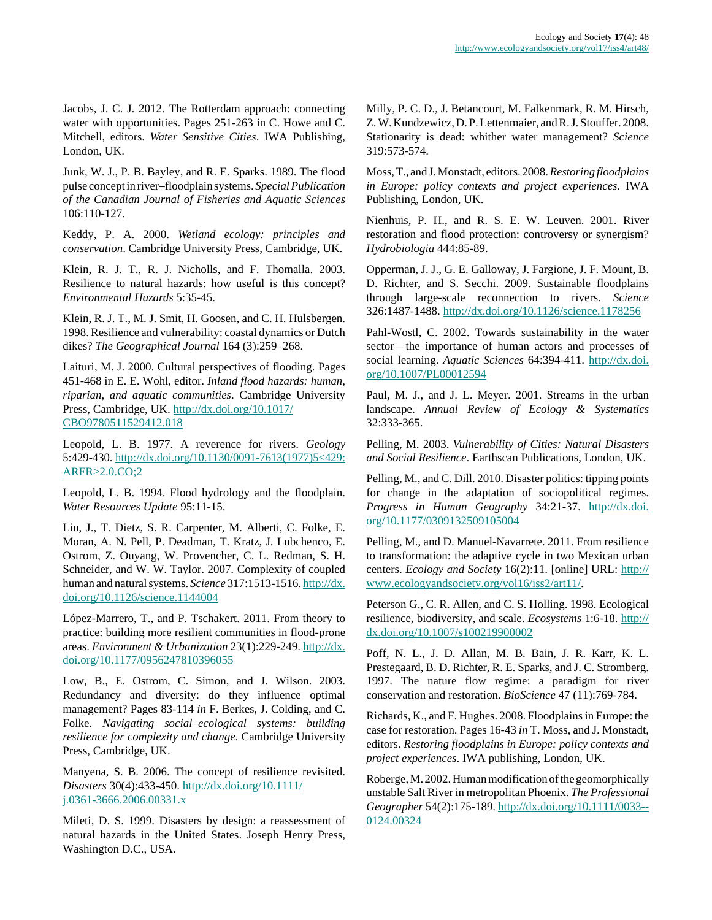Jacobs, J. C. J. 2012. The Rotterdam approach: connecting water with opportunities. Pages 251-263 in C. Howe and C. Mitchell, editors. *Water Sensitive Cities*. IWA Publishing, London, UK.

Junk, W. J., P. B. Bayley, and R. E. Sparks. 1989. The flood pulse concept in river–floodplain systems. *Special Publication of the Canadian Journal of Fisheries and Aquatic Sciences* 106:110-127.

Keddy, P. A. 2000. *Wetland ecology: principles and conservation*. Cambridge University Press, Cambridge, UK.

Klein, R. J. T., R. J. Nicholls, and F. Thomalla. 2003. Resilience to natural hazards: how useful is this concept? *Environmental Hazards* 5:35-45.

Klein, R. J. T., M. J. Smit, H. Goosen, and C. H. Hulsbergen. 1998. Resilience and vulnerability: coastal dynamics or Dutch dikes? *The Geographical Journal* 164 (3):259–268.

Laituri, M. J. 2000. Cultural perspectives of flooding. Pages 451-468 in E. E. Wohl, editor. *Inland flood hazards: human, riparian, and aquatic communities*. Cambridge University Press, Cambridge, UK. [http://dx.doi.org/10.1017/](http://dx.doi.org/10.1017/CBO9780511529412.018) [CBO9780511529412.018](http://dx.doi.org/10.1017/CBO9780511529412.018)

Leopold, L. B. 1977. A reverence for rivers. *Geology* 5:429-430. [http://dx.doi.org/10.1130/0091-7613\(1977\)5<429:](http://dx.doi.org/10.1130/0091-7613(1977)5<429:ARFR>2.0.CO;2) [ARFR>2.0.CO;2](http://dx.doi.org/10.1130/0091-7613(1977)5<429:ARFR>2.0.CO;2)

Leopold, L. B. 1994. Flood hydrology and the floodplain. *Water Resources Update* 95:11-15.

Liu, J., T. Dietz, S. R. Carpenter, M. Alberti, C. Folke, E. Moran, A. N. Pell, P. Deadman, T. Kratz, J. Lubchenco, E. Ostrom, Z. Ouyang, W. Provencher, C. L. Redman, S. H. Schneider, and W. W. Taylor. 2007. Complexity of coupled human and natural systems. *Science* 317:1513-1516. [http://dx.](http://dx.doi.org/10.1126/science.1144004) [doi.org/10.1126/science.1144004](http://dx.doi.org/10.1126/science.1144004)

López-Marrero, T., and P. Tschakert. 2011. From theory to practice: building more resilient communities in flood-prone areas. *Environment & Urbanization* 23(1):229-249. [http://dx.](http://dx.doi.org/10.1177/0956247810396055) [doi.org/10.1177/0956247810396055](http://dx.doi.org/10.1177/0956247810396055)

Low, B., E. Ostrom, C. Simon, and J. Wilson. 2003. Redundancy and diversity: do they influence optimal management? Pages 83-114 *in* F. Berkes, J. Colding, and C. Folke. *Navigating social–ecological systems: building resilience for complexity and change*. Cambridge University Press, Cambridge, UK.

Manyena, S. B. 2006. The concept of resilience revisited. *Disasters* 30(4):433-450. [http://dx.doi.org/10.1111/](http://dx.doi.org/10.1111/j.0361-3666.2006.00331.x) [j.0361-3666.2006.00331.x](http://dx.doi.org/10.1111/j.0361-3666.2006.00331.x)

Mileti, D. S. 1999. Disasters by design: a reassessment of natural hazards in the United States. Joseph Henry Press, Washington D.C., USA.

Milly, P. C. D., J. Betancourt, M. Falkenmark, R. M. Hirsch, Z. W. Kundzewicz, D. P. Lettenmaier, and R. J. Stouffer. 2008. Stationarity is dead: whither water management? *Science* 319:573-574.

Moss, T., and J. Monstadt, editors. 2008. *Restoring floodplains in Europe: policy contexts and project experiences*. IWA Publishing, London, UK.

Nienhuis, P. H., and R. S. E. W. Leuven. 2001. River restoration and flood protection: controversy or synergism? *Hydrobiologia* 444:85-89.

Opperman, J. J., G. E. Galloway, J. Fargione, J. F. Mount, B. D. Richter, and S. Secchi. 2009. Sustainable floodplains through large-scale reconnection to rivers. *Science* 326:1487-1488.<http://dx.doi.org/10.1126/science.1178256>

Pahl-Wostl, C. 2002. Towards sustainability in the water sector—the importance of human actors and processes of social learning. *Aquatic Sciences* 64:394-411. [http://dx.doi.](http://dx.doi.org/10.1007/PL00012594) [org/10.1007/PL00012594](http://dx.doi.org/10.1007/PL00012594)

Paul, M. J., and J. L. Meyer. 2001. Streams in the urban landscape. *Annual Review of Ecology & Systematics* 32:333-365.

Pelling, M. 2003. *Vulnerability of Cities: Natural Disasters and Social Resilience*. Earthscan Publications, London, UK.

Pelling, M., and C. Dill. 2010. Disaster politics: tipping points for change in the adaptation of sociopolitical regimes. *Progress in Human Geography* 34:21-37. [http://dx.doi.](http://dx.doi.org/10.1177/0309132509105004) [org/10.1177/0309132509105004](http://dx.doi.org/10.1177/0309132509105004)

Pelling, M., and D. Manuel-Navarrete. 2011. From resilience to transformation: the adaptive cycle in two Mexican urban centers. *Ecology and Society* 16(2):11. [online] URL: [http://](http://www.ecologyandsociety.org/vol16/iss2/art11/) [www.ecologyandsociety.org/vol16/iss2/art11/](http://www.ecologyandsociety.org/vol16/iss2/art11/).

Peterson G., C. R. Allen, and C. S. Holling. 1998. Ecological resilience, biodiversity, and scale. *Ecosystems* 1:6-18. [http://](http://dx.doi.org/10.1007/s100219900002) [dx.doi.org/10.1007/s100219900002](http://dx.doi.org/10.1007/s100219900002)

Poff, N. L., J. D. Allan, M. B. Bain, J. R. Karr, K. L. Prestegaard, B. D. Richter, R. E. Sparks, and J. C. Stromberg. 1997. The nature flow regime: a paradigm for river conservation and restoration. *BioScience* 47 (11):769-784.

Richards, K., and F. Hughes. 2008. Floodplains in Europe: the case for restoration. Pages 16-43 *in* T. Moss, and J. Monstadt, editors. *Restoring floodplains in Europe: policy contexts and project experiences*. IWA publishing, London, UK.

Roberge, M. 2002. Human modification of the geomorphically unstable Salt River in metropolitan Phoenix. *The Professional Geographer* 54(2):175-189. [http://dx.doi.org/10.1111/0033--](http://dx.doi.org/10.1111/0033-0124.00324) [0124.00324](http://dx.doi.org/10.1111/0033-0124.00324)